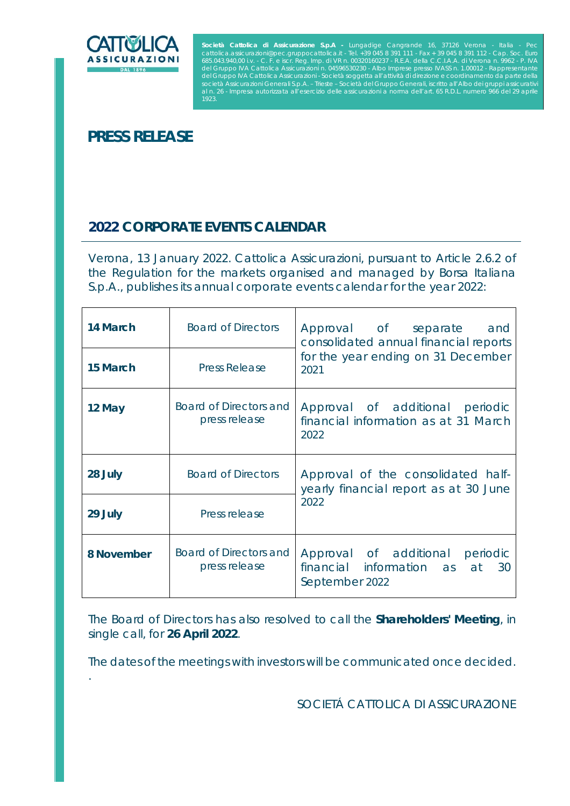

.

Società Cattolica di Assicurazione S.p.A - Lungadige Cangrande 16, 37126 Verona - Italia - Pec<br>cattolica.assicurazioni@pec.gruppocattolica.it - Tel. +39 045 8 391 111 - Fax + 39 045 8 391 112 - Cap. Soc. Euro<br>685.043.940,0 Impresa autorizzata all'esercizio delle assicurazioni a norma dell'art. 65 R.D.L. numero 966 del 29

## **PRESS RELEASE**

## **2022 CORPORATE EVENTS CALENDAR**

*Verona, 13 January 2022*. Cattolica Assicurazioni, pursuant to Article 2.6.2 of the Regulation for the markets organised and managed by Borsa Italiana S.p.A., publishes its annual corporate events calendar for the year 2022:

| 14 March   | <b>Board of Directors</b>               | Approval of separate and<br>consolidated annual financial reports<br>for the year ending on 31 December<br>2021 |
|------------|-----------------------------------------|-----------------------------------------------------------------------------------------------------------------|
| 15 March   | <b>Press Release</b>                    |                                                                                                                 |
| 12 May     | Board of Directors and<br>press release | Approval of additional periodic<br>financial information as at 31 March<br>2022                                 |
| 28 July    | <b>Board of Directors</b>               | Approval of the consolidated half-<br>yearly financial report as at 30 June<br>2022                             |
| 29 July    | Press release                           |                                                                                                                 |
| 8 November | Board of Directors and<br>press release | Approval of additional<br>periodic<br>financial information as at<br>30<br>September 2022                       |

The Board of Directors has also resolved to call the **Shareholders' Meeting**, in single call, for **26 April 2022**.

The dates of the meetings with investors will be communicated once decided.

SOCIETÁ CATTOLICA DI ASSICURAZIONE